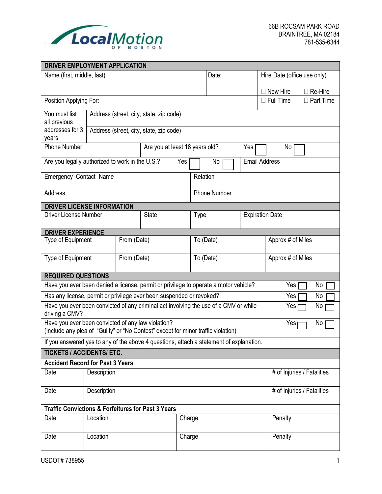

| DRIVER EMPLOYMENT APPLICATION                                                                                                           |                                         |             |              |                                       |                                |                     |                   |                              |                             |                  |                |
|-----------------------------------------------------------------------------------------------------------------------------------------|-----------------------------------------|-------------|--------------|---------------------------------------|--------------------------------|---------------------|-------------------|------------------------------|-----------------------------|------------------|----------------|
| Name (first, middle, last)                                                                                                              |                                         |             |              |                                       | Date:                          |                     |                   |                              | Hire Date (office use only) |                  |                |
|                                                                                                                                         |                                         |             |              |                                       |                                |                     |                   | New Hire                     |                             |                  | $\Box$ Re-Hire |
| Position Applying For:                                                                                                                  |                                         |             |              |                                       |                                |                     | $\Box$ Full Time  |                              |                             | $\Box$ Part Time |                |
| Address (street, city, state, zip code)                                                                                                 |                                         |             |              |                                       |                                |                     |                   |                              |                             |                  |                |
| You must list<br>all previous                                                                                                           |                                         |             |              |                                       |                                |                     |                   |                              |                             |                  |                |
| addresses for 3<br>years                                                                                                                | Address (street, city, state, zip code) |             |              |                                       |                                |                     |                   |                              |                             |                  |                |
| <b>Phone Number</b>                                                                                                                     |                                         |             |              | Are you at least 18 years old?<br>Yes |                                |                     |                   | No                           |                             |                  |                |
| Are you legally authorized to work in the U.S.?                                                                                         |                                         |             |              | Yes                                   |                                | No                  |                   | <b>Email Address</b>         |                             |                  |                |
| Emergency Contact Name                                                                                                                  |                                         |             |              |                                       | Relation                       |                     |                   |                              |                             |                  |                |
| Address                                                                                                                                 |                                         |             |              |                                       |                                | <b>Phone Number</b> |                   |                              |                             |                  |                |
| <b>DRIVER LICENSE INFORMATION</b>                                                                                                       |                                         |             |              |                                       |                                |                     |                   |                              |                             |                  |                |
| <b>Driver License Number</b>                                                                                                            |                                         |             | <b>State</b> |                                       | <b>Expiration Date</b><br>Type |                     |                   |                              |                             |                  |                |
| <b>DRIVER EXPERIENCE</b>                                                                                                                |                                         |             |              |                                       |                                |                     |                   |                              |                             |                  |                |
| Type of Equipment<br>From (Date)                                                                                                        |                                         | To (Date)   |              |                                       |                                | Approx # of Miles   |                   |                              |                             |                  |                |
| Type of Equipment                                                                                                                       |                                         | From (Date) | To (Date)    |                                       |                                |                     | Approx # of Miles |                              |                             |                  |                |
| <b>REQUIRED QUESTIONS</b>                                                                                                               |                                         |             |              |                                       |                                |                     |                   |                              |                             |                  |                |
| Have you ever been denied a license, permit or privilege to operate a motor vehicle?<br>Yes                                             |                                         |             |              | No                                    |                                |                     |                   |                              |                             |                  |                |
| Has any license, permit or privilege ever been suspended or revoked?                                                                    |                                         |             |              |                                       |                                |                     |                   | Yes                          |                             | No               |                |
| Have you ever been convicted of any criminal act involving the use of a CMV or while<br>driving a CMV?                                  |                                         |             |              |                                       |                                |                     |                   | Yes <sub>I</sub>             |                             | No               |                |
| Have you ever been convicted of any law violation?<br>(Include any plea of "Guilty" or "No Contest" except for minor traffic violation) |                                         |             |              |                                       | Yesp                           |                     | No                |                              |                             |                  |                |
| If you answered yes to any of the above 4 questions, attach a statement of explanation.                                                 |                                         |             |              |                                       |                                |                     |                   |                              |                             |                  |                |
| TICKETS / ACCIDENTS/ ETC.                                                                                                               |                                         |             |              |                                       |                                |                     |                   |                              |                             |                  |                |
| <b>Accident Record for Past 3 Years</b>                                                                                                 |                                         |             |              |                                       |                                |                     |                   |                              |                             |                  |                |
| Date                                                                                                                                    | Description                             |             |              |                                       |                                |                     |                   | # of Injuries / Fatalities   |                             |                  |                |
| Date                                                                                                                                    | Description                             |             |              |                                       |                                |                     |                   | $#$ of Injuries / Fatalities |                             |                  |                |
| <b>Traffic Convictions &amp; Forfeitures for Past 3 Years</b>                                                                           |                                         |             |              |                                       |                                |                     |                   |                              |                             |                  |                |
| Location<br>Date                                                                                                                        |                                         |             | Charge       |                                       |                                |                     | Penalty           |                              |                             |                  |                |
| Date                                                                                                                                    | Location                                |             |              | Charge                                |                                |                     |                   |                              | Penalty                     |                  |                |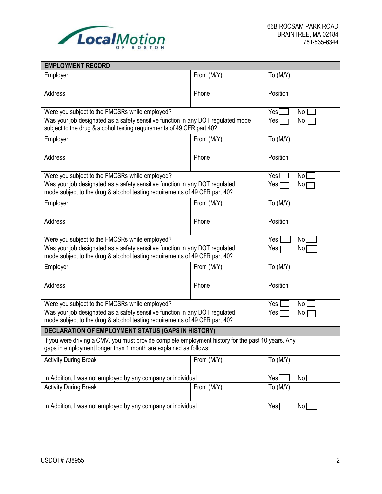

| <b>EMPLOYMENT RECORD</b>                                                                                                                                               |                          |                          |  |  |  |  |
|------------------------------------------------------------------------------------------------------------------------------------------------------------------------|--------------------------|--------------------------|--|--|--|--|
| Employer                                                                                                                                                               | From (M/Y)               | To (M/Y)                 |  |  |  |  |
| Address                                                                                                                                                                | Phone                    | Position                 |  |  |  |  |
| Were you subject to the FMCSRs while employed?                                                                                                                         | Yes <sup>[</sup><br>No   |                          |  |  |  |  |
| Was your job designated as a safety sensitive function in any DOT regulated mode<br>subject to the drug & alcohol testing requirements of 49 CFR part 40?              | Yes <sub>r</sub><br>No   |                          |  |  |  |  |
| Employer                                                                                                                                                               | From (M/Y)               | To (M/Y)                 |  |  |  |  |
| Address                                                                                                                                                                | Phone                    | Position                 |  |  |  |  |
| Were you subject to the FMCSRs while employed?                                                                                                                         |                          | Yes [<br>No <sub>1</sub> |  |  |  |  |
| Was your job designated as a safety sensitive function in any DOT regulated<br>mode subject to the drug & alcohol testing requirements of 49 CFR part 40?              |                          | No<br>Yes                |  |  |  |  |
| Employer                                                                                                                                                               | From (M/Y)               | To (M/Y)                 |  |  |  |  |
| Address                                                                                                                                                                | Phone                    | Position                 |  |  |  |  |
| Were you subject to the FMCSRs while employed?                                                                                                                         |                          | Yes<br>No                |  |  |  |  |
| Was your job designated as a safety sensitive function in any DOT regulated<br>mode subject to the drug & alcohol testing requirements of 49 CFR part 40?              | Yes<br>No                |                          |  |  |  |  |
| Employer                                                                                                                                                               | From (M/Y)               | To (M/Y)                 |  |  |  |  |
| Address                                                                                                                                                                | Phone                    | Position                 |  |  |  |  |
| Were you subject to the FMCSRs while employed?                                                                                                                         | Yes<br>No                |                          |  |  |  |  |
| Was your job designated as a safety sensitive function in any DOT regulated<br>mode subject to the drug & alcohol testing requirements of 49 CFR part 40?              | Yes  <br>No              |                          |  |  |  |  |
| DECLARATION OF EMPLOYMENT STATUS (GAPS IN HISTORY)                                                                                                                     |                          |                          |  |  |  |  |
| If you were driving a CMV, you must provide complete employment history for the past 10 years. Any<br>gaps in employment longer than 1 month are explained as follows: |                          |                          |  |  |  |  |
| <b>Activity During Break</b>                                                                                                                                           | From (M/Y)               | To (M/Y)                 |  |  |  |  |
| In Addition, I was not employed by any company or individual                                                                                                           | Yes <sup>[</sup><br>No [ |                          |  |  |  |  |
| <b>Activity During Break</b>                                                                                                                                           | From (M/Y)               | To (M/Y)                 |  |  |  |  |
| In Addition, I was not employed by any company or individual                                                                                                           | Yes <sub>l</sub><br>No [ |                          |  |  |  |  |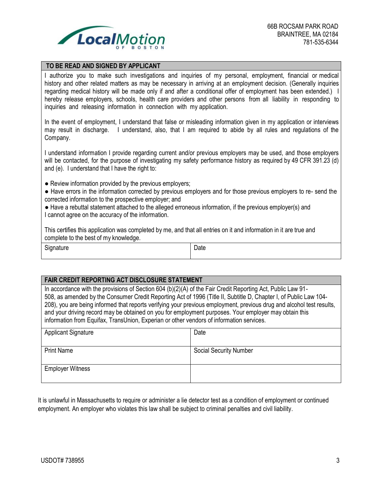

#### **TO BE READ AND SIGNED BY APPLICANT**

I authorize you to make such investigations and inquiries of my personal, employment, financial or medical history and other related matters as may be necessary in arriving at an employment decision. (Generally inquiries regarding medical history will be made only if and after a conditional offer of employment has been extended.) I hereby release employers, schools, health care providers and other persons from all liability in responding to inquiries and releasing information in connection with my application.

In the event of employment, I understand that false or misleading information given in my application or interviews may result in discharge. I understand, also, that I am required to abide by all rules and regulations of the Company.

I understand information I provide regarding current and/or previous employers may be used, and those employers will be contacted, for the purpose of investigating my safety performance history as required by 49 CFR 391.23 (d) and (e). I understand that I have the right to:

• Review information provided by the previous employers;

● Have errors in the information corrected by previous employers and for those previous employers to re- send the corrected information to the prospective employer; and

● Have a rebuttal statement attached to the alleged erroneous information, if the previous employer(s) and I cannot agree on the accuracy of the information.

This certifies this application was completed by me, and that all entries on it and information in it are true and complete to the best of my knowledge.

Signature **Date Date Date Date** 

### **FAIR CREDIT REPORTING ACT DISCLOSURE STATEMENT**

In accordance with the provisions of Section 604 (b)(2)(A) of the Fair Credit Reporting Act, Public Law 91- 508, as amended by the Consumer Credit Reporting Act of 1996 (Title II, Subtitle D, Chapter I, of Public Law 104- 208), you are being informed that reports verifying your previous employment, previous drug and alcohol test results, and your driving record may be obtained on you for employment purposes. Your employer may obtain this information from Equifax, TransUnion, Experian or other vendors of information services.

| <b>Applicant Signature</b> | Date                          |
|----------------------------|-------------------------------|
| <b>Print Name</b>          | <b>Social Security Number</b> |
| <b>Employer Witness</b>    |                               |

It is unlawful in Massachusetts to require or administer a lie detector test as a condition of employment or continued employment. An employer who violates this law shall be subject to criminal penalties and civil liability.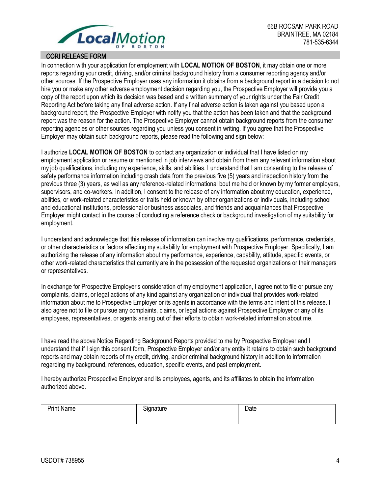

### CORI RELEASE FORM

In connection with your application for employment with **LOCAL MOTION OF BOSTON**, it may obtain one or more reports regarding your credit, driving, and/or criminal background history from a consumer reporting agency and/or other sources. If the Prospective Employer uses any information it obtains from a background report in a decision to not hire you or make any other adverse employment decision regarding you, the Prospective Employer will provide you a copy of the report upon which its decision was based and a written summary of your rights under the Fair Credit Reporting Act before taking any final adverse action. If any final adverse action is taken against you based upon a background report, the Prospective Employer with notify you that the action has been taken and that the background report was the reason for the action. The Prospective Employer cannot obtain background reports from the consumer reporting agencies or other sources regarding you unless you consent in writing. If you agree that the Prospective Employer may obtain such background reports, please read the following and sign below:

I authorize **LOCAL MOTION OF BOSTON** to contact any organization or individual that I have listed on my employment application or resume or mentioned in job interviews and obtain from them any relevant information about my job qualifications, including my experience, skills, and abilities. I understand that I am consenting to the release of safety performance information including crash data from the previous five (5) years and inspection history from the previous three (3) years, as well as any reference-related informational bout me held or known by my former employers, supervisors, and co-workers. In addition, I consent to the release of any information about my education, experience, abilities, or work-related characteristics or traits held or known by other organizations or individuals, including school and educational institutions, professional or business associates, and friends and acquaintances that Prospective Employer might contact in the course of conducting a reference check or background investigation of my suitability for employment.

I understand and acknowledge that this release of information can involve my qualifications, performance, credentials, or other characteristics or factors affecting my suitability for employment with Prospective Employer. Specifically, I am authorizing the release of any information about my performance, experience, capability, attitude, specific events, or other work-related characteristics that currently are in the possession of the requested organizations or their managers or representatives.

In exchange for Prospective Employer's consideration of my employment application, I agree not to file or pursue any complaints, claims, or legal actions of any kind against any organization or individual that provides work-related information about me to Prospective Employer or its agents in accordance with the terms and intent of this release. I also agree not to file or pursue any complaints, claims, or legal actions against Prospective Employer or any of its employees, representatives, or agents arising out of their efforts to obtain work-related information about me.

I have read the above Notice Regarding Background Reports provided to me by Prospective Employer and I understand that if I sign this consent form, Prospective Employer and/or any entity it retains to obtain such background reports and may obtain reports of my credit, driving, and/or criminal background history in addition to information regarding my background, references, education, specific events, and past employment.

I hereby authorize Prospective Employer and its employees, agents, and its affiliates to obtain the information authorized above.

| <b>Print Name</b> | <b></b><br>Signature | Date |
|-------------------|----------------------|------|
|                   |                      |      |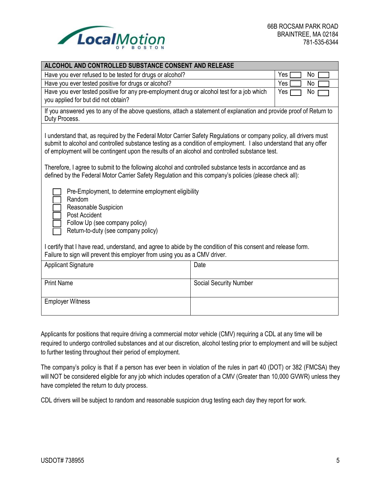

| ALCOHOL AND CONTROLLED SUBSTANCE CONSENT AND RELEASE                                                                                                                                                                                                                                                                                                                                                                                                                                                                                                                                                                    |                        |           |  |  |  |  |
|-------------------------------------------------------------------------------------------------------------------------------------------------------------------------------------------------------------------------------------------------------------------------------------------------------------------------------------------------------------------------------------------------------------------------------------------------------------------------------------------------------------------------------------------------------------------------------------------------------------------------|------------------------|-----------|--|--|--|--|
| Have you ever refused to be tested for drugs or alcohol?                                                                                                                                                                                                                                                                                                                                                                                                                                                                                                                                                                |                        | Yes<br>No |  |  |  |  |
| Yes<br>Have you ever tested positive for drugs or alcohol?<br>No                                                                                                                                                                                                                                                                                                                                                                                                                                                                                                                                                        |                        |           |  |  |  |  |
| Have you ever tested positive for any pre-employment drug or alcohol test for a job which<br>No<br>Yes<br>you applied for but did not obtain?                                                                                                                                                                                                                                                                                                                                                                                                                                                                           |                        |           |  |  |  |  |
| If you answered yes to any of the above questions, attach a statement of explanation and provide proof of Return to<br>Duty Process.                                                                                                                                                                                                                                                                                                                                                                                                                                                                                    |                        |           |  |  |  |  |
| I understand that, as required by the Federal Motor Carrier Safety Regulations or company policy, all drivers must<br>submit to alcohol and controlled substance testing as a condition of employment. I also understand that any offer<br>of employment will be contingent upon the results of an alcohol and controlled substance test.<br>Therefore, I agree to submit to the following alcohol and controlled substance tests in accordance and as<br>defined by the Federal Motor Carrier Safety Regulation and this company's policies (please check all):<br>Pre-Employment, to determine employment eligibility |                        |           |  |  |  |  |
| Random<br>Reasonable Suspicion<br>Post Accident<br>Follow Up (see company policy)<br>Return-to-duty (see company policy)                                                                                                                                                                                                                                                                                                                                                                                                                                                                                                |                        |           |  |  |  |  |
| I certify that I have read, understand, and agree to abide by the condition of this consent and release form.<br>Failure to sign will prevent this employer from using you as a CMV driver.                                                                                                                                                                                                                                                                                                                                                                                                                             |                        |           |  |  |  |  |
| <b>Applicant Signature</b>                                                                                                                                                                                                                                                                                                                                                                                                                                                                                                                                                                                              | Date                   |           |  |  |  |  |
| <b>Print Name</b>                                                                                                                                                                                                                                                                                                                                                                                                                                                                                                                                                                                                       | Social Security Number |           |  |  |  |  |
| <b>Employer Witness</b>                                                                                                                                                                                                                                                                                                                                                                                                                                                                                                                                                                                                 |                        |           |  |  |  |  |
|                                                                                                                                                                                                                                                                                                                                                                                                                                                                                                                                                                                                                         |                        |           |  |  |  |  |

Applicants for positions that require driving a commercial motor vehicle (CMV) requiring a CDL at any time will be required to undergo controlled substances and at our discretion, alcohol testing prior to employment and will be subject to further testing throughout their period of employment.

The company's policy is that if a person has ever been in violation of the rules in part 40 (DOT) or 382 (FMCSA) they will NOT be considered eligible for any job which includes operation of a CMV (Greater than 10,000 GVWR) unless they have completed the return to duty process.

CDL drivers will be subject to random and reasonable suspicion drug testing each day they report for work.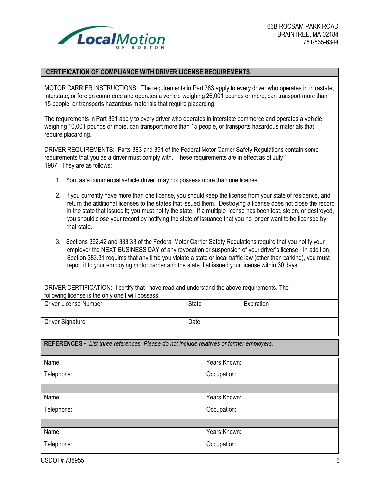

#### **CERTIFICATION OF COMPLIANCE WITH DRIVER LICENSE REQUIREMENTS**

MOTOR CARRIER INSTRUCTIONS: The requirements in Part 383 apply to every driver who operates in intrastate, interstate, or foreign commerce and operates a vehicle weighing 26,001 pounds or more, can transport more than 15 people, or transports hazardous materials that require placarding.

The requirements in Part 391 apply to every driver who operates in interstate commerce and operates a vehicle weighing 10,001 pounds or more, can transport more than 15 people, or transports hazardous materials that require placarding.

DRIVER REQUIREMENTS: Parts 383 and 391 of the Federal Motor Carrier Safety Regulations contain some requirements that you as a driver must comply with. These requirements are in effect as of July 1, 1987. They are as follows:

- 1. You, as a commercial vehicle driver, may not possess more than one license.
- 2. If you currently have more than one license, you should keep the license from your state of residence, and return the additional licenses to the states that issued them. Destroying a license does not close the record in the state that issued it; you must notify the state. If a multiple license has been lost, stolen, or destroyed, you should close your record by notifying the state of issuance that you no longer want to be licensed by that state.
- 3. Sections 392.42 and 383.33 of the Federal Motor Carrier Safety Regulations require that you notify your employer the NEXT BUSINESS DAY of any revocation or suspension of your driver's license. In addition, Section 383.31 requires that any time you violate a state or local traffic law (other than parking), you must report it to your employing motor carrier and the state that issued your license within 30 days.

DRIVER CERTIFICATION: I certify that I have read and understand the above requirements. The following license is the only one I will possess:

| Driver License Number   | <b>State</b> | Expiration |
|-------------------------|--------------|------------|
| <b>Driver Signature</b> | Date         |            |

**REFERENCES -** *List three references. Please do not include relatives or former employers.*

| Name:      | Years Known: |
|------------|--------------|
| Telephone: | Occupation:  |
|            |              |
| Name:      | Years Known: |
| Telephone: | Occupation:  |
|            |              |
| Name:      | Years Known: |
| Telephone: | Occupation:  |